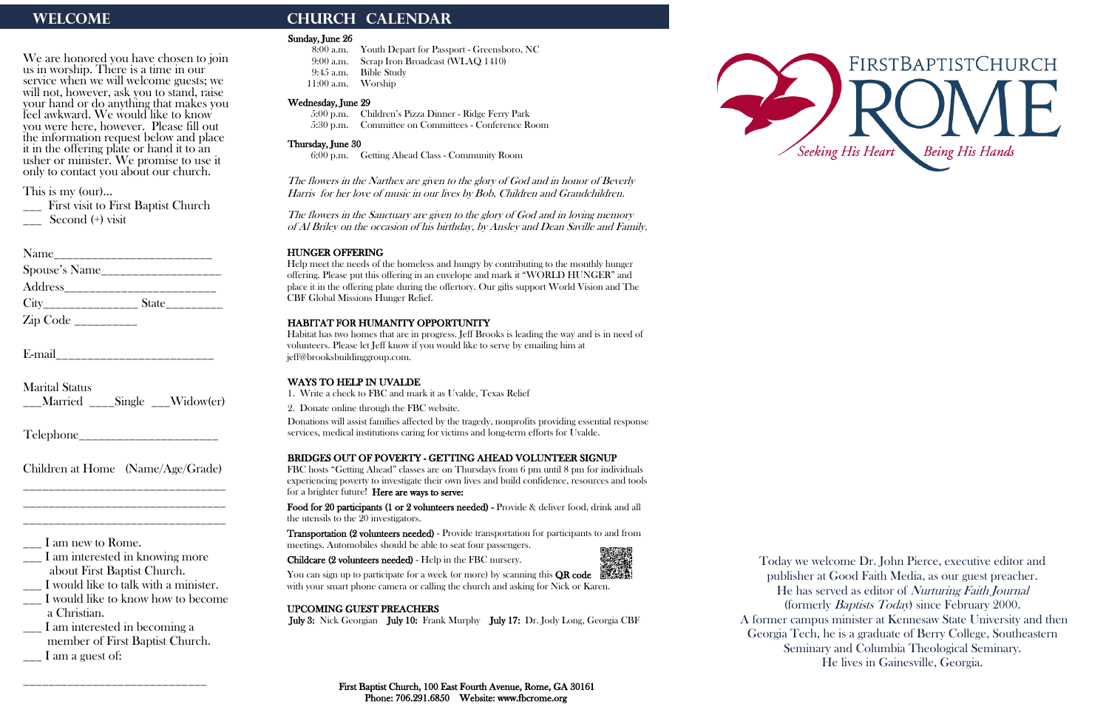We are honored you have chosen to join us in worship. There is a time in our service when we will welcome guests; we will not, however, ask you to stand, raise your hand or do anything that makes you feel awkward. We would like to know you were here, however. Please fill out the information request below and place it in the offering plate or hand it to an usher or minister. We promise to use it only to contact you about our church.

\_\_\_ First visit to First Baptist Church Second (+) visit

| Name                         |  |
|------------------------------|--|
| Spouse's Name $\frac{2}{2}$  |  |
| $Address$ <sub>_______</sub> |  |
| City State                   |  |
|                              |  |

E-mail

This is my (our)…

- \_\_\_ I would like to know how to become a Christian.
- \_\_\_ I am interested in becoming a member of First Baptist Church.  $\frac{1}{\sqrt{2}}$  I am a guest of:

Marital Status \_\_\_Married \_\_\_\_Single \_\_\_Widow(er)

Telephone\_\_\_\_\_\_\_\_\_\_\_\_\_\_\_\_\_\_\_\_\_\_

Children at Home (Name/Age/Grade) \_\_\_\_\_\_\_\_\_\_\_\_\_\_\_\_\_\_\_\_\_\_\_\_\_\_\_\_\_\_\_\_

\_\_\_\_\_\_\_\_\_\_\_\_\_\_\_\_\_\_\_\_\_\_\_\_\_\_\_\_\_\_\_\_ \_\_\_\_\_\_\_\_\_\_\_\_\_\_\_\_\_\_\_\_\_\_\_\_\_\_\_\_\_\_\_\_

 $\frac{1}{2}$  I am new to Rome.

\_\_\_ I am interested in knowing more about First Baptist Church.

\_\_\_ I would like to talk with a minister.

\_\_\_\_\_\_\_\_\_\_\_\_\_\_\_\_\_\_\_\_\_\_\_\_\_\_\_\_\_

# WELCOME **CHURCH CALENDAR**

### Sunday, June 26

- 8:00 a.m. Youth Depart for Passport Greensboro, NC
- 9:00 a.m. Scrap Iron Broadcast (WLAQ 1410)
- 9:45 a.m. Bible Study
- 11:00 a.m. Worship

### Wednesday, June 29

 5:00 p.m. Children's Pizza Dinner - Ridge Ferry Park 5:30 p.m. Committee on Committees - Conference Room

### Thursday, June 30

6:00 p.m. Getting Ahead Class - Community Room

The flowers in the Narthex are given to the glory of God and in honor of Beverly Harris for her love of music in our lives by Bob, Children and Grandchildren.

You can sign up to participate for a week (or more) by scanning this **QR code**  $\frac{1}{2}$ with your smart phone camera or calling the church and asking for Nick or Karen.

The flowers in the Sanctuary are given to the glory of God and in loving memory of Al Briley on the occasion of his birthday, by Ansley and Dean Saville and Family.

### HUNGER OFFERING

Help meet the needs of the homeless and hungry by contributing to the monthly hunger offering. Please put this offering in an envelope and mark it "WORLD HUNGER" and place it in the offering plate during the offertory. Our gifts support World Vision and The CBF Global Missions Hunger Relief.

### HABITAT FOR HUMANITY OPPORTUNITY

Habitat has two homes that are in progress. Jeff Brooks is leading the way and is in need of volunteers. Please let Jeff know if you would like to serve by emailing him at jeff@brooksbuildinggroup.com.

### WAYS TO HELP IN UVALDE

1. Write a check to FBC and mark it as Uvalde, Texas Relief

2. Donate online through the FBC website.

Donations will assist families affected by the tragedy, nonprofits providing essential response services, medical institutions caring for victims and long-term efforts for Uvalde.

### BRIDGES OUT OF POVERTY - GETTING AHEAD VOLUNTEER SIGNUP

FBC hosts "Getting Ahead" classes are on Thursdays from 6 pm until 8 pm for individuals experiencing poverty to investigate their own lives and build confidence, resources and tools for a brighter future! Here are ways to serve:

Food for 20 participants (1 or 2 volunteers needed) - Provide & deliver food, drink and all the utensils to the 20 investigators.

Transportation (2 volunteers needed) - Provide transportation for participants to and from meetings. Automobiles should be able to seat four passengers.

Childcare (2 volunteers needed) - Help in the FBC nursery.



### UPCOMING GUEST PREACHERS

July 3: Nick Georgian July 10: Frank Murphy July 17: Dr. Jody Long, Georgia CBF





Today we welcome Dr. John Pierce, executive editor and publisher at Good Faith Media, as our guest preacher. He has served as editor of Nurturing Faith Journal (formerly Baptists Today) since February 2000. A former campus minister at Kennesaw State University and then Georgia Tech, he is a graduate of Berry College, Southeastern Seminary and Columbia Theological Seminary.

He lives in Gainesville, Georgia.